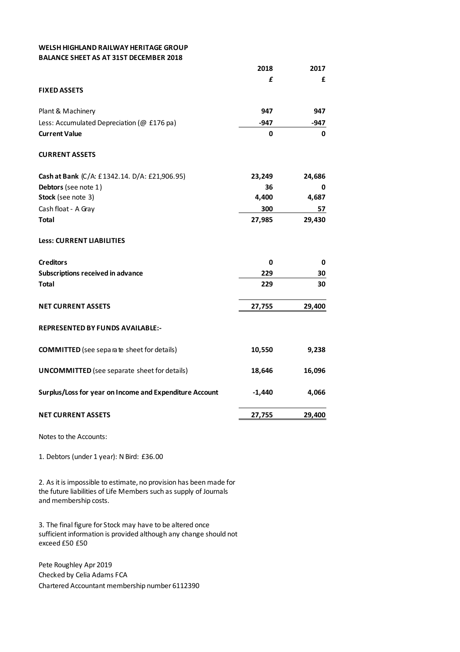## **WELSH HIGHLAND RAILWAY HERITAGE GROUP BALANCE SHEET AS AT 31ST DECEMBER 2018**

|                                                         | 2018     | 2017   |
|---------------------------------------------------------|----------|--------|
|                                                         | £        | £      |
| <b>FIXED ASSETS</b>                                     |          |        |
| Plant & Machinery                                       | 947      | 947    |
| Less: Accumulated Depreciation (@ £176 pa)              | -947     | -947   |
| <b>Current Value</b>                                    | 0        | 0      |
| <b>CURRENT ASSETS</b>                                   |          |        |
| Cash at Bank (C/A: £1342.14. D/A: £21,906.95)           | 23,249   | 24,686 |
| Debtors (see note 1)                                    | 36       | 0      |
| Stock (see note 3)                                      | 4,400    | 4,687  |
| Cash float - A Gray                                     | 300      | 57     |
| <b>Total</b>                                            | 27,985   | 29,430 |
| <b>Less: CURRENT LIABILITIES</b>                        |          |        |
| <b>Creditors</b>                                        | 0        | 0      |
| <b>Subscriptions received in advance</b>                | 229      | 30     |
| <b>Total</b>                                            | 229      | 30     |
| <b>NET CURRENT ASSETS</b>                               | 27,755   | 29,400 |
| <b>REPRESENTED BY FUNDS AVAILABLE:-</b>                 |          |        |
| <b>COMMITTED</b> (see separa te sheet for details)      | 10,550   | 9,238  |
| <b>UNCOMMITTED</b> (see separate sheet for details)     | 18,646   | 16,096 |
| Surplus/Loss for year on Income and Expenditure Account | $-1,440$ | 4,066  |
| <b>NET CURRENT ASSETS</b>                               | 27,755   | 29,400 |
|                                                         |          |        |

Notes to the Accounts:

1. Debtors (under 1 year): N Bird: £36.00

2. As it is impossible to estimate, no provision has been made for the future liabilities of Life Members such as supply of Journals and membership costs.

3. The final figure for Stock may have to be altered once sufficient information is provided although any change should not exceed £50 £50

Pete Roughley Apr 2019 Checked by Celia Adams FCA Chartered Accountant membership number 6112390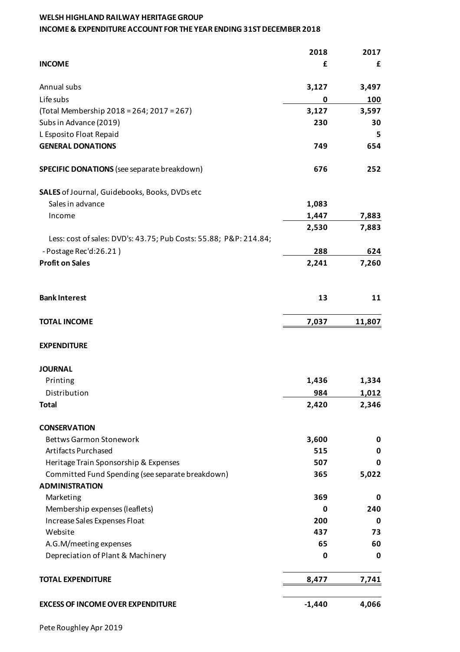## **WELSH HIGHLAND RAILWAY HERITAGE GROUP INCOME & EXPENDITURE ACCOUNT FOR THE YEAR ENDING 31ST DECEMBER 2018**

|                                                                   | 2018     | 2017   |
|-------------------------------------------------------------------|----------|--------|
| <b>INCOME</b>                                                     | £        | £      |
| Annual subs                                                       | 3,127    | 3,497  |
| Life subs                                                         | 0        | 100    |
| (Total Membership 2018 = 264; 2017 = 267)                         | 3,127    | 3,597  |
| Subs in Advance (2019)                                            | 230      | 30     |
| L Esposito Float Repaid                                           |          | 5      |
| <b>GENERAL DONATIONS</b>                                          | 749      | 654    |
| <b>SPECIFIC DONATIONS</b> (see separate breakdown)                | 676      | 252    |
| SALES of Journal, Guidebooks, Books, DVDs etc                     |          |        |
| Sales in advance                                                  | 1,083    |        |
| Income                                                            | 1,447    | 7,883  |
|                                                                   | 2,530    | 7,883  |
| Less: cost of sales: DVD's: 43.75; Pub Costs: 55.88; P&P: 214.84; |          |        |
| - Postage Rec'd:26.21)                                            | 288      | 624    |
| <b>Profit on Sales</b>                                            | 2,241    | 7,260  |
| <b>Bank Interest</b>                                              | 13       | 11     |
| <b>TOTAL INCOME</b>                                               | 7,037    | 11,807 |
| <b>EXPENDITURE</b>                                                |          |        |
| <b>JOURNAL</b>                                                    |          |        |
| Printing                                                          | 1,436    | 1,334  |
| Distribution                                                      | 984      | 1,012  |
| <b>Total</b>                                                      | 2,420    | 2,346  |
| <b>CONSERVATION</b>                                               |          |        |
| <b>Bettws Garmon Stonework</b>                                    | 3,600    | 0      |
| <b>Artifacts Purchased</b>                                        | 515      | 0      |
| Heritage Train Sponsorship & Expenses                             | 507      | 0      |
| Committed Fund Spending (see separate breakdown)                  | 365      | 5,022  |
| <b>ADMINISTRATION</b>                                             |          |        |
| Marketing                                                         | 369      | 0      |
| Membership expenses (leaflets)                                    | 0        | 240    |
| Increase Sales Expenses Float                                     | 200      | 0      |
| Website                                                           | 437      | 73     |
| A.G.M/meeting expenses                                            | 65       | 60     |
| Depreciation of Plant & Machinery                                 | 0        | 0      |
| <b>TOTAL EXPENDITURE</b>                                          | 8,477    | 7,741  |
| <b>EXCESS OF INCOME OVER EXPENDITURE</b>                          | $-1,440$ | 4,066  |
|                                                                   |          |        |